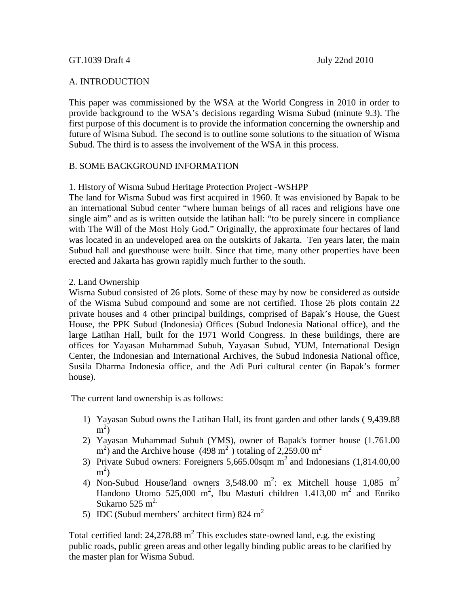## A. INTRODUCTION

This paper was commissioned by the WSA at the World Congress in 2010 in order to provide background to the WSA's decisions regarding Wisma Subud (minute 9.3). The first purpose of this document is to provide the information concerning the ownership and future of Wisma Subud. The second is to outline some solutions to the situation of Wisma Subud. The third is to assess the involvement of the WSA in this process.

# B. SOME BACKGROUND INFORMATION

1. History of Wisma Subud Heritage Protection Project -WSHPP

The land for Wisma Subud was first acquired in 1960. It was envisioned by Bapak to be an international Subud center "where human beings of all races and religions have one single aim" and as is written outside the latihan hall: "to be purely sincere in compliance with The Will of the Most Holy God." Originally, the approximate four hectares of land was located in an undeveloped area on the outskirts of Jakarta. Ten years later, the main Subud hall and guesthouse were built. Since that time, many other properties have been erected and Jakarta has grown rapidly much further to the south.

## 2. Land Ownership

Wisma Subud consisted of 26 plots. Some of these may by now be considered as outside of the Wisma Subud compound and some are not certified. Those 26 plots contain 22 private houses and 4 other principal buildings, comprised of Bapak's House, the Guest House, the PPK Subud (Indonesia) Offices (Subud Indonesia National office), and the large Latihan Hall, built for the 1971 World Congress. In these buildings, there are offices for Yayasan Muhammad Subuh, Yayasan Subud, YUM, International Design Center, the Indonesian and International Archives, the Subud Indonesia National office, Susila Dharma Indonesia office, and the Adi Puri cultural center (in Bapak's former house).

The current land ownership is as follows:

- 1) Yayasan Subud owns the Latihan Hall, its front garden and other lands ( 9,439.88  $\mathrm{m}^2$
- 2) Yayasan Muhammad Subuh (YMS), owner of Bapak's former house (1.761.00  $\text{m}^2$ ) and the Archive house (498 m<sup>2</sup>) totaling of 2,259.00 m<sup>2</sup>
- 3) Private Subud owners: Foreigners  $5,665.00$ sqm m<sup>2</sup> and Indonesians  $(1,814.00,00)$  $m<sup>2</sup>$ )
- 4) Non-Subud House/land owners  $3,548.00 \text{ m}^2$ : ex Mitchell house  $1,085 \text{ m}^2$ Handono Utomo 525,000 m<sup>2</sup>, Ibu Mastuti children 1.413,00 m<sup>2</sup> and Enriko Sukarno 525 m<sup>2.</sup>
- 5) IDC (Subud members' architect firm) 824 m<sup>2</sup>

Total certified land:  $24,278.88$  m<sup>2</sup> This excludes state-owned land, e.g. the existing public roads, public green areas and other legally binding public areas to be clarified by the master plan for Wisma Subud.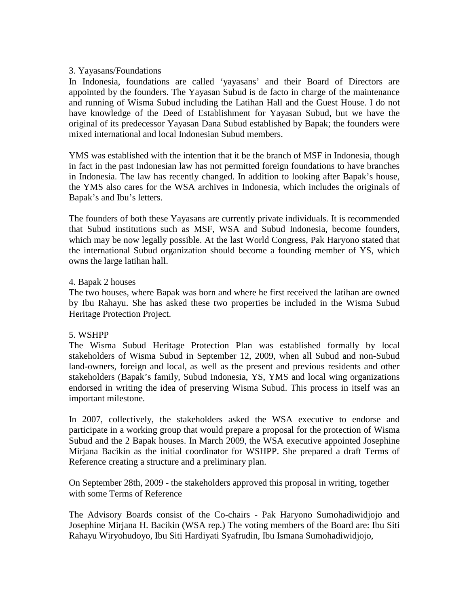## 3. Yayasans/Foundations

In Indonesia, foundations are called 'yayasans' and their Board of Directors are appointed by the founders. The Yayasan Subud is de facto in charge of the maintenance and running of Wisma Subud including the Latihan Hall and the Guest House. I do not have knowledge of the Deed of Establishment for Yayasan Subud, but we have the original of its predecessor Yayasan Dana Subud established by Bapak; the founders were mixed international and local Indonesian Subud members.

YMS was established with the intention that it be the branch of MSF in Indonesia, though in fact in the past Indonesian law has not permitted foreign foundations to have branches in Indonesia. The law has recently changed. In addition to looking after Bapak's house, the YMS also cares for the WSA archives in Indonesia, which includes the originals of Bapak's and Ibu's letters.

The founders of both these Yayasans are currently private individuals. It is recommended that Subud institutions such as MSF, WSA and Subud Indonesia, become founders, which may be now legally possible. At the last World Congress, Pak Haryono stated that the international Subud organization should become a founding member of YS, which owns the large latihan hall.

#### 4. Bapak 2 houses

The two houses, where Bapak was born and where he first received the latihan are owned by Ibu Rahayu. She has asked these two properties be included in the Wisma Subud Heritage Protection Project.

#### 5. WSHPP

The Wisma Subud Heritage Protection Plan was established formally by local stakeholders of Wisma Subud in September 12, 2009, when all Subud and non-Subud land-owners, foreign and local, as well as the present and previous residents and other stakeholders (Bapak's family, Subud Indonesia, YS, YMS and local wing organizations endorsed in writing the idea of preserving Wisma Subud. This process in itself was an important milestone.

In 2007, collectively, the stakeholders asked the WSA executive to endorse and participate in a working group that would prepare a proposal for the protection of Wisma Subud and the 2 Bapak houses. In March 2009, the WSA executive appointed Josephine Mirjana Bacikin as the initial coordinator for WSHPP. She prepared a draft Terms of Reference creating a structure and a preliminary plan.

On September 28th, 2009 - the stakeholders approved this proposal in writing, together with some Terms of Reference

The Advisory Boards consist of the Co-chairs - Pak Haryono Sumohadiwidjojo and Josephine Mirjana H. Bacikin (WSA rep.) The voting members of the Board are: [Ibu Siti](http://en.wikipedia.org/wiki/Ibu_Rahayu)  [Rahayu Wiryohudoyo,](http://en.wikipedia.org/wiki/Ibu_Rahayu) Ibu Siti Hardiyati Syafrudin, Ibu Ismana Sumohadiwidjojo,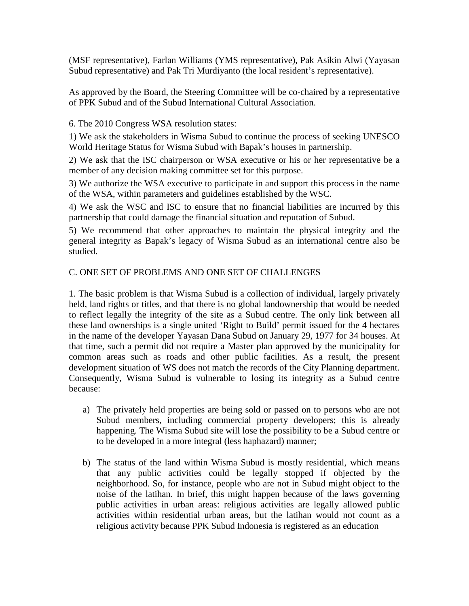(MSF representative), Farlan Williams (YMS representative), Pak Asikin Alwi (Yayasan Subud representative) and Pak Tri Murdiyanto (the local resident's representative).

As approved by the Board, the Steering Committee will be co-chaired by a representative of PPK Subud and of the Subud International Cultural Association.

6. The 2010 Congress WSA resolution states:

1) We ask the stakeholders in Wisma Subud to continue the process of seeking UNESCO World Heritage Status for Wisma Subud with Bapak's houses in partnership.

2) We ask that the ISC chairperson or WSA executive or his or her representative be a member of any decision making committee set for this purpose.

3) We authorize the WSA executive to participate in and support this process in the name of the WSA, within parameters and guidelines established by the WSC.

4) We ask the WSC and ISC to ensure that no financial liabilities are incurred by this partnership that could damage the financial situation and reputation of Subud.

5) We recommend that other approaches to maintain the physical integrity and the general integrity as Bapak's legacy of Wisma Subud as an international centre also be studied.

## C. ONE SET OF PROBLEMS AND ONE SET OF CHALLENGES

1. The basic problem is that Wisma Subud is a collection of individual, largely privately held, land rights or titles, and that there is no global landownership that would be needed to reflect legally the integrity of the site as a Subud centre. The only link between all these land ownerships is a single united 'Right to Build' permit issued for the 4 hectares in the name of the developer Yayasan Dana Subud on January 29, 1977 for 34 houses. At that time, such a permit did not require a Master plan approved by the municipality for common areas such as roads and other public facilities. As a result, the present development situation of WS does not match the records of the City Planning department. Consequently, Wisma Subud is vulnerable to losing its integrity as a Subud centre because:

- a) The privately held properties are being sold or passed on to persons who are not Subud members, including commercial property developers; this is already happening. The Wisma Subud site will lose the possibility to be a Subud centre or to be developed in a more integral (less haphazard) manner;
- b) The status of the land within Wisma Subud is mostly residential, which means that any public activities could be legally stopped if objected by the neighborhood. So, for instance, people who are not in Subud might object to the noise of the latihan. In brief, this might happen because of the laws governing public activities in urban areas: religious activities are legally allowed public activities within residential urban areas, but the latihan would not count as a religious activity because PPK Subud Indonesia is registered as an education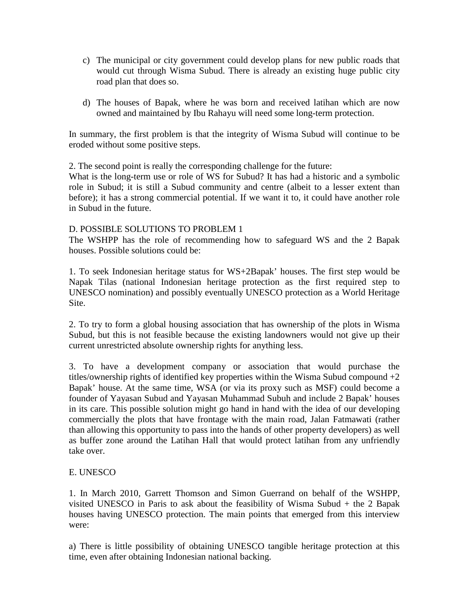- c) The municipal or city government could develop plans for new public roads that would cut through Wisma Subud. There is already an existing huge public city road plan that does so.
- d) The houses of Bapak, where he was born and received latihan which are now owned and maintained by Ibu Rahayu will need some long-term protection.

In summary, the first problem is that the integrity of Wisma Subud will continue to be eroded without some positive steps.

2. The second point is really the corresponding challenge for the future:

What is the long-term use or role of WS for Subud? It has had a historic and a symbolic role in Subud; it is still a Subud community and centre (albeit to a lesser extent than before); it has a strong commercial potential. If we want it to, it could have another role in Subud in the future.

## D. POSSIBLE SOLUTIONS TO PROBLEM 1

The WSHPP has the role of recommending how to safeguard WS and the 2 Bapak houses. Possible solutions could be:

1. To seek Indonesian heritage status for WS+2Bapak' houses. The first step would be Napak Tilas (national Indonesian heritage protection as the first required step to UNESCO nomination) and possibly eventually UNESCO protection as a World Heritage Site.

2. To try to form a global housing association that has ownership of the plots in Wisma Subud, but this is not feasible because the existing landowners would not give up their current unrestricted absolute ownership rights for anything less.

3. To have a development company or association that would purchase the titles/ownership rights of identified key properties within the Wisma Subud compound  $+2$ Bapak' house. At the same time, WSA (or via its proxy such as MSF) could become a founder of Yayasan Subud and Yayasan Muhammad Subuh and include 2 Bapak' houses in its care. This possible solution might go hand in hand with the idea of our developing commercially the plots that have frontage with the main road, Jalan Fatmawati (rather than allowing this opportunity to pass into the hands of other property developers) as well as buffer zone around the Latihan Hall that would protect latihan from any unfriendly take over.

# E. UNESCO

1. In March 2010, Garrett Thomson and Simon Guerrand on behalf of the WSHPP, visited UNESCO in Paris to ask about the feasibility of Wisma Subud + the 2 Bapak houses having UNESCO protection. The main points that emerged from this interview were:

a) There is little possibility of obtaining UNESCO tangible heritage protection at this time, even after obtaining Indonesian national backing.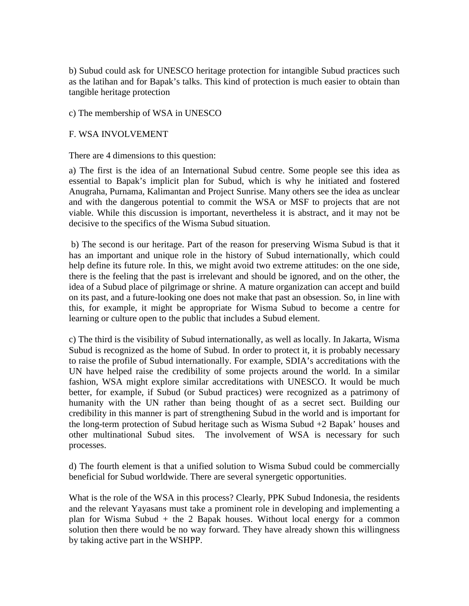b) Subud could ask for UNESCO heritage protection for intangible Subud practices such as the latihan and for Bapak's talks. This kind of protection is much easier to obtain than tangible heritage protection

#### c) The membership of WSA in UNESCO

#### F. WSA INVOLVEMENT

There are 4 dimensions to this question:

a) The first is the idea of an International Subud centre. Some people see this idea as essential to Bapak's implicit plan for Subud, which is why he initiated and fostered Anugraha, Purnama, Kalimantan and Project Sunrise. Many others see the idea as unclear and with the dangerous potential to commit the WSA or MSF to projects that are not viable. While this discussion is important, nevertheless it is abstract, and it may not be decisive to the specifics of the Wisma Subud situation.

b) The second is our heritage. Part of the reason for preserving Wisma Subud is that it has an important and unique role in the history of Subud internationally, which could help define its future role. In this, we might avoid two extreme attitudes: on the one side, there is the feeling that the past is irrelevant and should be ignored, and on the other, the idea of a Subud place of pilgrimage or shrine. A mature organization can accept and build on its past, and a future-looking one does not make that past an obsession. So, in line with this, for example, it might be appropriate for Wisma Subud to become a centre for learning or culture open to the public that includes a Subud element.

c) The third is the visibility of Subud internationally, as well as locally. In Jakarta, Wisma Subud is recognized as the home of Subud. In order to protect it, it is probably necessary to raise the profile of Subud internationally. For example, SDIA's accreditations with the UN have helped raise the credibility of some projects around the world. In a similar fashion, WSA might explore similar accreditations with UNESCO. It would be much better, for example, if Subud (or Subud practices) were recognized as a patrimony of humanity with the UN rather than being thought of as a secret sect. Building our credibility in this manner is part of strengthening Subud in the world and is important for the long-term protection of Subud heritage such as Wisma Subud +2 Bapak' houses and other multinational Subud sites. The involvement of WSA is necessary for such processes.

d) The fourth element is that a unified solution to Wisma Subud could be commercially beneficial for Subud worldwide. There are several synergetic opportunities.

What is the role of the WSA in this process? Clearly, PPK Subud Indonesia, the residents and the relevant Yayasans must take a prominent role in developing and implementing a plan for Wisma Subud  $+$  the 2 Bapak houses. Without local energy for a common solution then there would be no way forward. They have already shown this willingness by taking active part in the WSHPP.